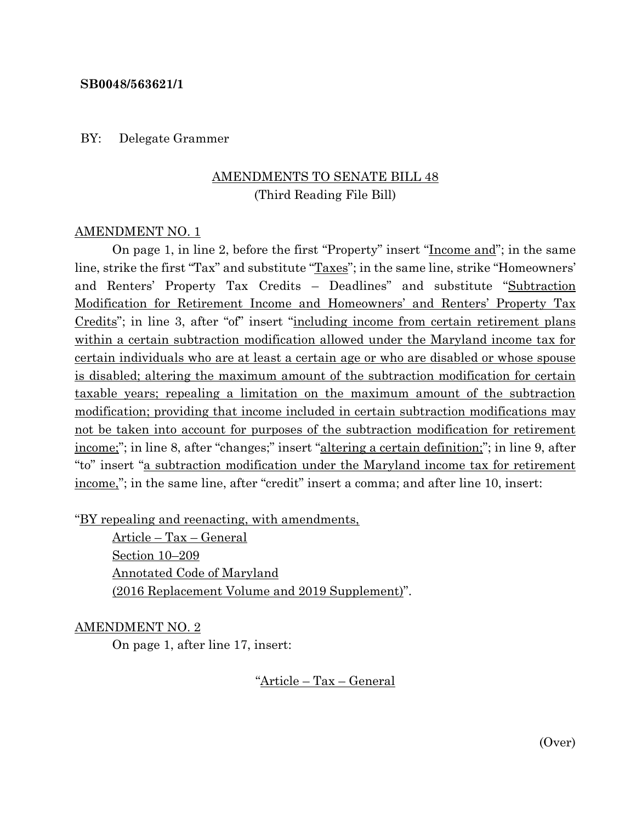#### **SB0048/563621/1**

BY: Delegate Grammer

### AMENDMENTS TO SENATE BILL 48 (Third Reading File Bill)

#### AMENDMENT NO. 1

On page 1, in line 2, before the first "Property" insert "Income and"; in the same line, strike the first "Tax" and substitute "Taxes"; in the same line, strike "Homeowners' and Renters' Property Tax Credits – Deadlines" and substitute "Subtraction Modification for Retirement Income and Homeowners' and Renters' Property Tax Credits"; in line 3, after "of" insert "including income from certain retirement plans within a certain subtraction modification allowed under the Maryland income tax for certain individuals who are at least a certain age or who are disabled or whose spouse is disabled; altering the maximum amount of the subtraction modification for certain taxable years; repealing a limitation on the maximum amount of the subtraction modification; providing that income included in certain subtraction modifications may not be taken into account for purposes of the subtraction modification for retirement income;"; in line 8, after "changes;" insert "altering a certain definition;"; in line 9, after "to" insert "a subtraction modification under the Maryland income tax for retirement income,"; in the same line, after "credit" insert a comma; and after line 10, insert:

"BY repealing and reenacting, with amendments,

Article – Tax – General Section 10–209 Annotated Code of Maryland (2016 Replacement Volume and 2019 Supplement)".

AMENDMENT NO. 2

On page 1, after line 17, insert:

"Article – Tax – General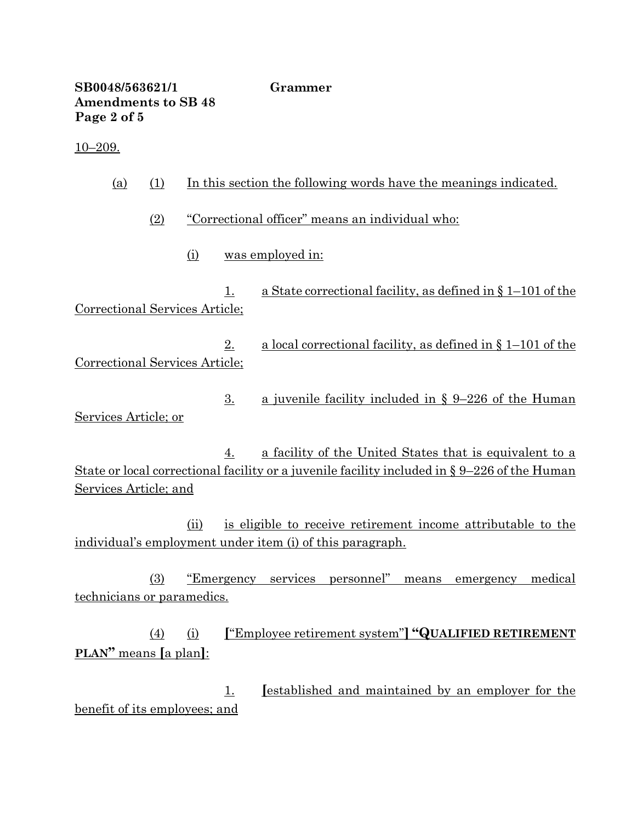**SB0048/563621/1 Grammer Amendments to SB 48 Page 2 of 5** 10–209. (a) (1) In this section the following words have the meanings indicated. (2) "Correctional officer" means an individual who: (i) was employed in:

1. a State correctional facility, as defined in § 1–101 of the Correctional Services Article;

2. a local correctional facility, as defined in § 1–101 of the Correctional Services Article;

3. a juvenile facility included in § 9–226 of the Human Services Article; or

4. a facility of the United States that is equivalent to a State or local correctional facility or a juvenile facility included in § 9–226 of the Human Services Article; and

(ii) is eligible to receive retirement income attributable to the individual's employment under item (i) of this paragraph.

(3) "Emergency services personnel" means emergency medical technicians or paramedics.

(4) (i) **[**"Employee retirement system"**] "QUALIFIED RETIREMENT PLAN"** means **[**a plan**]**:

1. **[**established and maintained by an employer for the benefit of its employees; and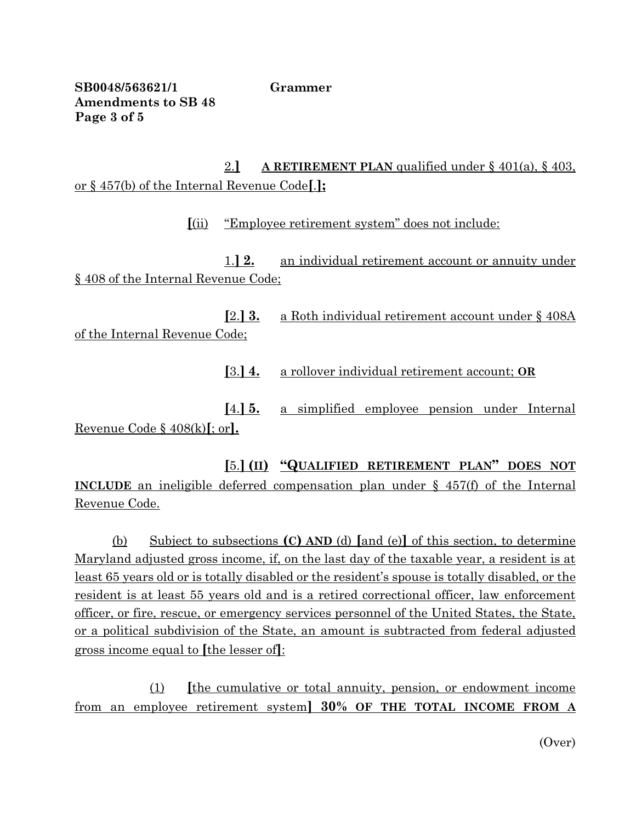**SB0048/563621/1 Grammer Amendments to SB 48 Page 3 of 5**

2.**] A RETIREMENT PLAN** qualified under § 401(a), § 403, or § 457(b) of the Internal Revenue Code**[**.**];**

**[**(ii) "Employee retirement system" does not include:

1.**] 2.** an individual retirement account or annuity under § 408 of the Internal Revenue Code;

**[**2.**] 3.** a Roth individual retirement account under § 408A of the Internal Revenue Code;

**[**3.**] 4.** a rollover individual retirement account; **OR**

**[**4.**] 5.** a simplified employee pension under Internal Revenue Code § 408(k)**[**; or**].**

**[**5.**] (II) "QUALIFIED RETIREMENT PLAN" DOES NOT INCLUDE** an ineligible deferred compensation plan under § 457(f) of the Internal Revenue Code.

(b) Subject to subsections **(C) AND** (d) **[**and (e)**]** of this section, to determine Maryland adjusted gross income, if, on the last day of the taxable year, a resident is at least 65 years old or is totally disabled or the resident's spouse is totally disabled, or the resident is at least 55 years old and is a retired correctional officer, law enforcement officer, or fire, rescue, or emergency services personnel of the United States, the State, or a political subdivision of the State, an amount is subtracted from federal adjusted gross income equal to **[**the lesser of**]**:

(1) **[**the cumulative or total annuity, pension, or endowment income from an employee retirement system**] 30% OF THE TOTAL INCOME FROM A** 

(Over)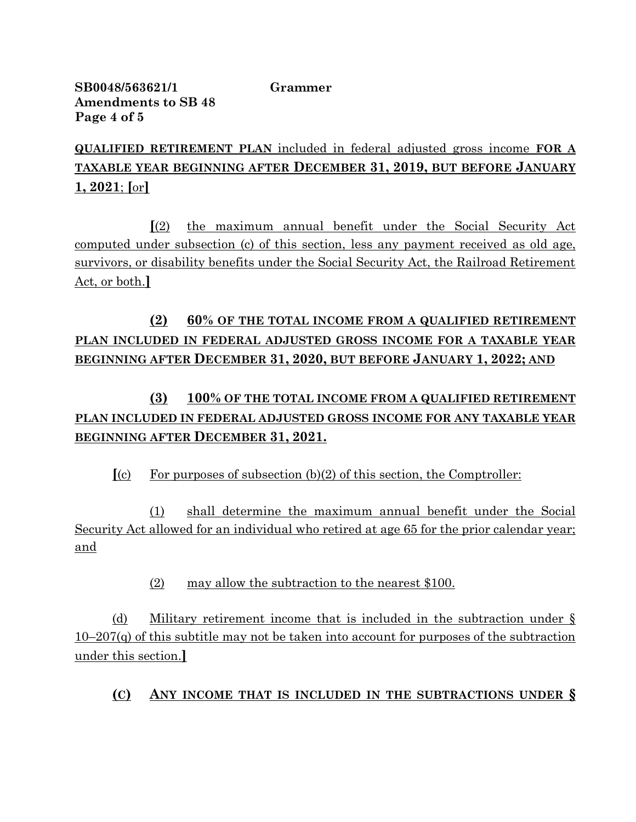**SB0048/563621/1 Grammer Amendments to SB 48 Page 4 of 5**

**QUALIFIED RETIREMENT PLAN** included in federal adjusted gross income **FOR A TAXABLE YEAR BEGINNING AFTER DECEMBER 31, 2019, BUT BEFORE JANUARY 1, 2021**; **[**or**]**

**[**(2) the maximum annual benefit under the Social Security Act computed under subsection (c) of this section, less any payment received as old age, survivors, or disability benefits under the Social Security Act, the Railroad Retirement Act, or both.**]**

# **(2) 60% OF THE TOTAL INCOME FROM A QUALIFIED RETIREMENT PLAN INCLUDED IN FEDERAL ADJUSTED GROSS INCOME FOR A TAXABLE YEAR BEGINNING AFTER DECEMBER 31, 2020, BUT BEFORE JANUARY 1, 2022; AND**

# **(3) 100% OF THE TOTAL INCOME FROM A QUALIFIED RETIREMENT PLAN INCLUDED IN FEDERAL ADJUSTED GROSS INCOME FOR ANY TAXABLE YEAR BEGINNING AFTER DECEMBER 31, 2021.**

**[**(c) For purposes of subsection (b)(2) of this section, the Comptroller:

(1) shall determine the maximum annual benefit under the Social Security Act allowed for an individual who retired at age 65 for the prior calendar year; and

(2) may allow the subtraction to the nearest \$100.

(d) Military retirement income that is included in the subtraction under §  $10-207(q)$  of this subtitle may not be taken into account for purposes of the subtraction under this section.**]**

## **(C) ANY INCOME THAT IS INCLUDED IN THE SUBTRACTIONS UNDER §**